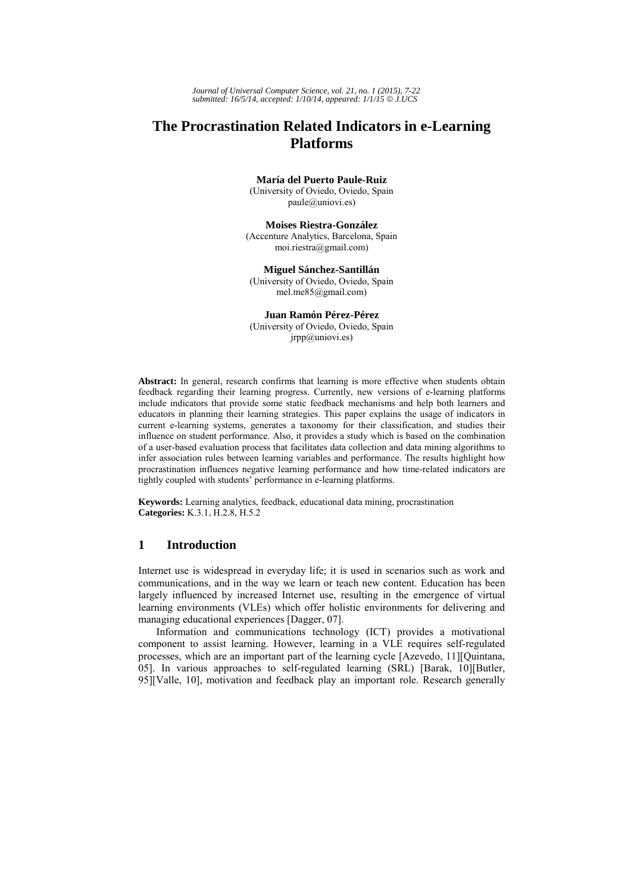*Journal of Universal Computer Science, vol. 21, no. 1 (2015), 7-22 submitted: 16/5/14, accepted: 1/10/14, appeared: 1/1/15* © *J.UCS*

# **The Procrastination Related Indicators in e-Learning Platforms**

**María del Puerto Paule-Ruiz** 

(University of Oviedo, Oviedo, Spain paule@uniovi.es)

**Moises Riestra-González** (Accenture Analytics, Barcelona, Spain moi.riestra@gmail.com)

**Miguel Sánchez-Santillán**  (University of Oviedo, Oviedo, Spain mel.me85@gmail.com)

**Juan Ramón Pérez-Pérez**  (University of Oviedo, Oviedo, Spain jrpp@uniovi.es)

**Abstract:** In general, research confirms that learning is more effective when students obtain feedback regarding their learning progress. Currently, new versions of e-learning platforms include indicators that provide some static feedback mechanisms and help both learners and educators in planning their learning strategies. This paper explains the usage of indicators in current e-learning systems, generates a taxonomy for their classification, and studies their influence on student performance. Also, it provides a study which is based on the combination of a user-based evaluation process that facilitates data collection and data mining algorithms to infer association rules between learning variables and performance. The results highlight how procrastination influences negative learning performance and how time-related indicators are tightly coupled with students' performance in e-learning platforms.

**Keywords:** Learning analytics, feedback, educational data mining, procrastination **Categories:** K.3.1, H.2.8, H.5.2

# **1 Introduction**

Internet use is widespread in everyday life; it is used in scenarios such as work and communications, and in the way we learn or teach new content. Education has been largely influenced by increased Internet use, resulting in the emergence of virtual learning environments (VLEs) which offer holistic environments for delivering and managing educational experiences [Dagger, 07].

Information and communications technology (ICT) provides a motivational component to assist learning. However, learning in a VLE requires self-regulated processes, which are an important part of the learning cycle [Azevedo, 11][Quintana, 05]. In various approaches to self-regulated learning (SRL) [Barak, 10][Butler, 95][Valle, 10], motivation and feedback play an important role. Research generally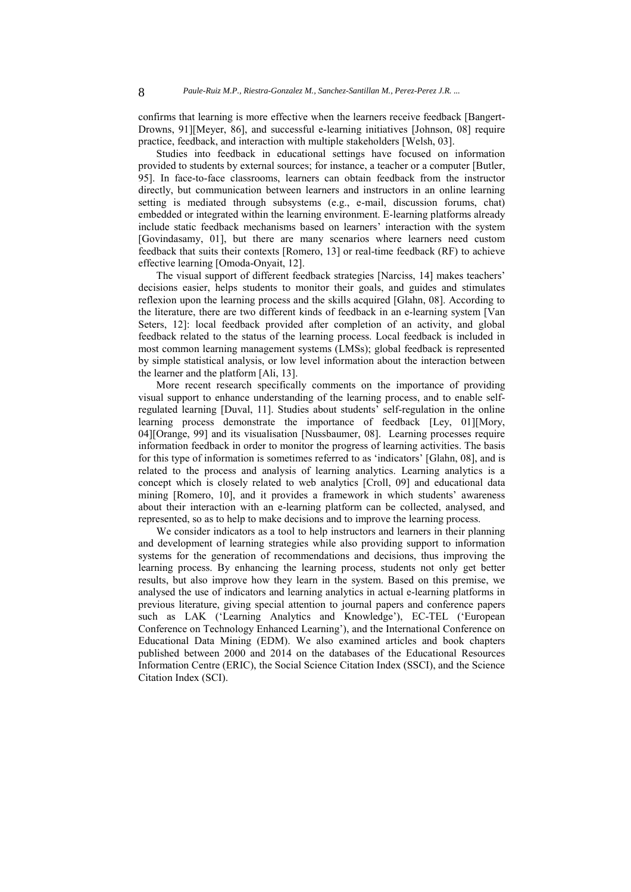confirms that learning is more effective when the learners receive feedback [Bangert-Drowns, 91][Meyer, 86], and successful e-learning initiatives [Johnson, 08] require practice, feedback, and interaction with multiple stakeholders [Welsh, 03].

Studies into feedback in educational settings have focused on information provided to students by external sources; for instance, a teacher or a computer [Butler, 95]. In face-to-face classrooms, learners can obtain feedback from the instructor directly, but communication between learners and instructors in an online learning setting is mediated through subsystems (e.g., e-mail, discussion forums, chat) embedded or integrated within the learning environment. E-learning platforms already include static feedback mechanisms based on learners' interaction with the system [Govindasamy, 01], but there are many scenarios where learners need custom feedback that suits their contexts [Romero, 13] or real-time feedback (RF) to achieve effective learning [Omoda-Onyait, 12].

The visual support of different feedback strategies [Narciss, 14] makes teachers' decisions easier, helps students to monitor their goals, and guides and stimulates reflexion upon the learning process and the skills acquired [Glahn, 08]. According to the literature, there are two different kinds of feedback in an e-learning system [Van Seters, 12]: local feedback provided after completion of an activity, and global feedback related to the status of the learning process. Local feedback is included in most common learning management systems (LMSs); global feedback is represented by simple statistical analysis, or low level information about the interaction between the learner and the platform [Ali, 13].

More recent research specifically comments on the importance of providing visual support to enhance understanding of the learning process, and to enable selfregulated learning [Duval, 11]. Studies about students' self-regulation in the online learning process demonstrate the importance of feedback [Ley, 01][Mory, 04][Orange, 99] and its visualisation [Nussbaumer, 08]. Learning processes require information feedback in order to monitor the progress of learning activities. The basis for this type of information is sometimes referred to as 'indicators' [Glahn, 08], and is related to the process and analysis of learning analytics. Learning analytics is a concept which is closely related to web analytics [Croll, 09] and educational data mining [Romero, 10], and it provides a framework in which students' awareness about their interaction with an e-learning platform can be collected, analysed, and represented, so as to help to make decisions and to improve the learning process.

We consider indicators as a tool to help instructors and learners in their planning and development of learning strategies while also providing support to information systems for the generation of recommendations and decisions, thus improving the learning process. By enhancing the learning process, students not only get better results, but also improve how they learn in the system. Based on this premise, we analysed the use of indicators and learning analytics in actual e-learning platforms in previous literature, giving special attention to journal papers and conference papers such as LAK ('Learning Analytics and Knowledge'), EC-TEL ('European Conference on Technology Enhanced Learning'), and the International Conference on Educational Data Mining (EDM). We also examined articles and book chapters published between 2000 and 2014 on the databases of the Educational Resources Information Centre (ERIC), the Social Science Citation Index (SSCI), and the Science Citation Index (SCI).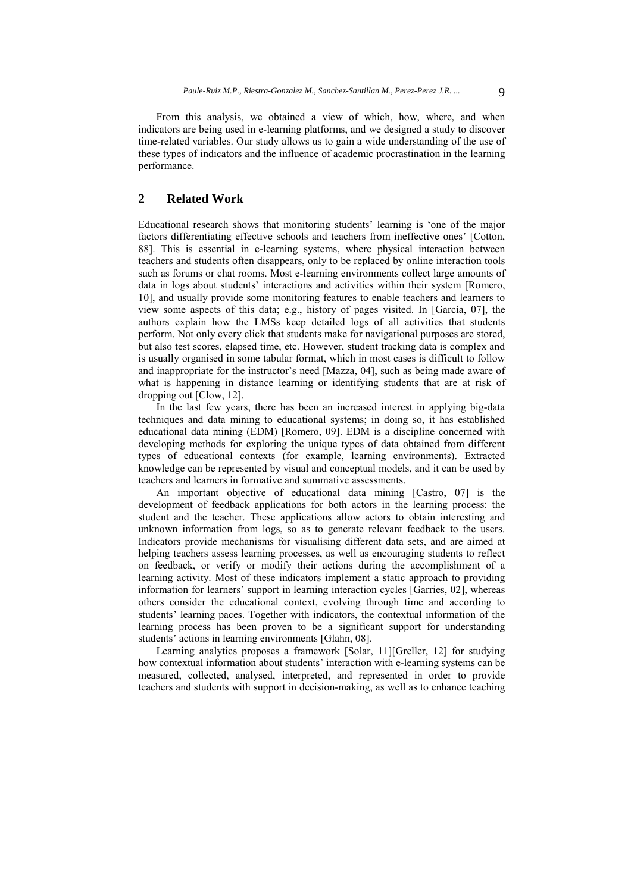From this analysis, we obtained a view of which, how, where, and when indicators are being used in e-learning platforms, and we designed a study to discover time-related variables. Our study allows us to gain a wide understanding of the use of these types of indicators and the influence of academic procrastination in the learning performance.

# **2 Related Work**

Educational research shows that monitoring students' learning is 'one of the major factors differentiating effective schools and teachers from ineffective ones' [Cotton, 88]. This is essential in e-learning systems, where physical interaction between teachers and students often disappears, only to be replaced by online interaction tools such as forums or chat rooms. Most e-learning environments collect large amounts of data in logs about students' interactions and activities within their system [Romero, 10], and usually provide some monitoring features to enable teachers and learners to view some aspects of this data; e.g., history of pages visited. In [García, 07], the authors explain how the LMSs keep detailed logs of all activities that students perform. Not only every click that students make for navigational purposes are stored, but also test scores, elapsed time, etc. However, student tracking data is complex and is usually organised in some tabular format, which in most cases is difficult to follow and inappropriate for the instructor's need [Mazza, 04], such as being made aware of what is happening in distance learning or identifying students that are at risk of dropping out [Clow, 12].

In the last few years, there has been an increased interest in applying big-data techniques and data mining to educational systems; in doing so, it has established educational data mining (EDM) [Romero, 09]. EDM is a discipline concerned with developing methods for exploring the unique types of data obtained from different types of educational contexts (for example, learning environments). Extracted knowledge can be represented by visual and conceptual models, and it can be used by teachers and learners in formative and summative assessments.

An important objective of educational data mining [Castro, 07] is the development of feedback applications for both actors in the learning process: the student and the teacher. These applications allow actors to obtain interesting and unknown information from logs, so as to generate relevant feedback to the users. Indicators provide mechanisms for visualising different data sets, and are aimed at helping teachers assess learning processes, as well as encouraging students to reflect on feedback, or verify or modify their actions during the accomplishment of a learning activity. Most of these indicators implement a static approach to providing information for learners' support in learning interaction cycles [Garries, 02], whereas others consider the educational context, evolving through time and according to students' learning paces. Together with indicators, the contextual information of the learning process has been proven to be a significant support for understanding students' actions in learning environments [Glahn, 08].

Learning analytics proposes a framework [Solar, 11][Greller, 12] for studying how contextual information about students' interaction with e-learning systems can be measured, collected, analysed, interpreted, and represented in order to provide teachers and students with support in decision-making, as well as to enhance teaching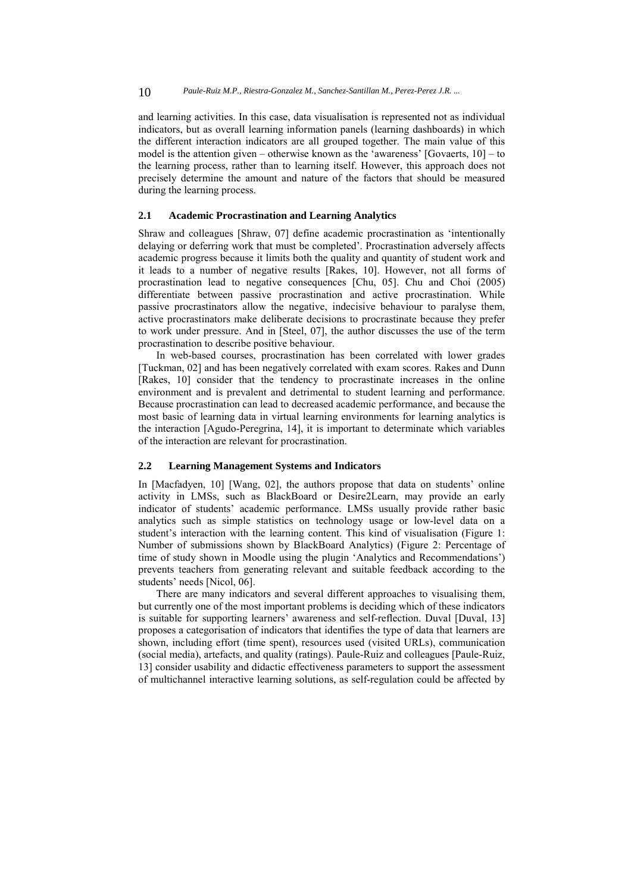and learning activities. In this case, data visualisation is represented not as individual indicators, but as overall learning information panels (learning dashboards) in which the different interaction indicators are all grouped together. The main value of this model is the attention given – otherwise known as the 'awareness' [Govaerts, 10] – to the learning process, rather than to learning itself. However, this approach does not precisely determine the amount and nature of the factors that should be measured during the learning process.

### **2.1 Academic Procrastination and Learning Analytics**

Shraw and colleagues [Shraw, 07] define academic procrastination as 'intentionally delaying or deferring work that must be completed'. Procrastination adversely affects academic progress because it limits both the quality and quantity of student work and it leads to a number of negative results [Rakes, 10]. However, not all forms of procrastination lead to negative consequences [Chu, 05]. Chu and Choi (2005) differentiate between passive procrastination and active procrastination. While passive procrastinators allow the negative, indecisive behaviour to paralyse them, active procrastinators make deliberate decisions to procrastinate because they prefer to work under pressure. And in [Steel, 07], the author discusses the use of the term procrastination to describe positive behaviour.

In web-based courses, procrastination has been correlated with lower grades [Tuckman, 02] and has been negatively correlated with exam scores. Rakes and Dunn [Rakes, 10] consider that the tendency to procrastinate increases in the online environment and is prevalent and detrimental to student learning and performance. Because procrastination can lead to decreased academic performance, and because the most basic of learning data in virtual learning environments for learning analytics is the interaction [Agudo-Peregrina, 14], it is important to determinate which variables of the interaction are relevant for procrastination.

### **2.2 Learning Management Systems and Indicators**

In [Macfadyen, 10] [Wang, 02], the authors propose that data on students' online activity in LMSs, such as BlackBoard or Desire2Learn, may provide an early indicator of students' academic performance. LMSs usually provide rather basic analytics such as simple statistics on technology usage or low-level data on a student's interaction with the learning content. This kind of visualisation (Figure 1: Number of submissions shown by BlackBoard Analytics) (Figure 2: Percentage of time of study shown in Moodle using the plugin 'Analytics and Recommendations') prevents teachers from generating relevant and suitable feedback according to the students' needs [Nicol, 06].

There are many indicators and several different approaches to visualising them, but currently one of the most important problems is deciding which of these indicators is suitable for supporting learners' awareness and self-reflection. Duval [Duval, 13] proposes a categorisation of indicators that identifies the type of data that learners are shown, including effort (time spent), resources used (visited URLs), communication (social media), artefacts, and quality (ratings). Paule-Ruiz and colleagues [Paule-Ruiz, 13] consider usability and didactic effectiveness parameters to support the assessment of multichannel interactive learning solutions, as self-regulation could be affected by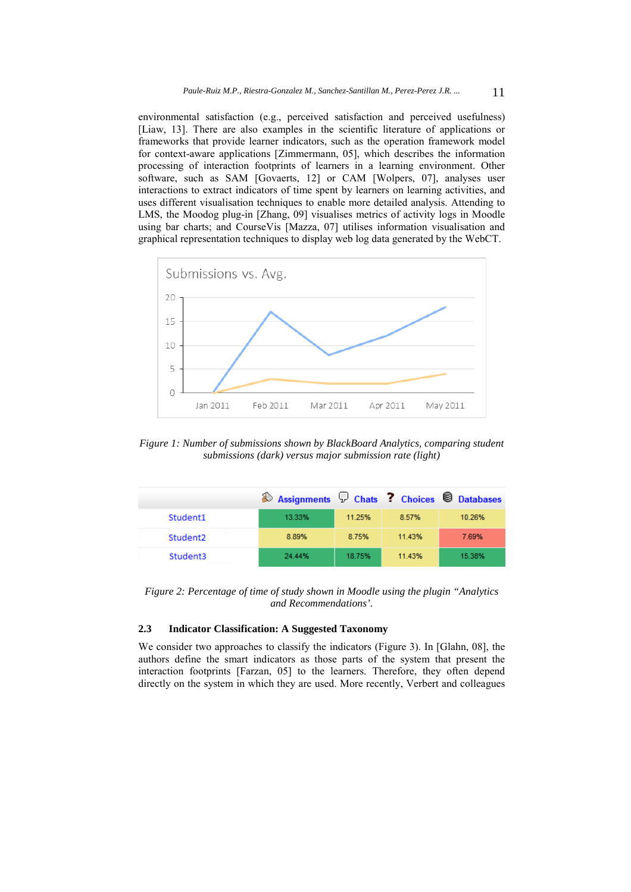environmental satisfaction (e.g., perceived satisfaction and perceived usefulness) [Liaw, 13]. There are also examples in the scientific literature of applications or frameworks that provide learner indicators, such as the operation framework model for context-aware applications [Zimmermann, 05], which describes the information processing of interaction footprints of learners in a learning environment. Other software, such as SAM [Govaerts, 12] or CAM [Wolpers, 07], analyses user interactions to extract indicators of time spent by learners on learning activities, and uses different visualisation techniques to enable more detailed analysis. Attending to LMS, the Moodog plug-in [Zhang, 09] visualises metrics of activity logs in Moodle using bar charts; and CourseVis [Mazza, 07] utilises information visualisation and graphical representation techniques to display web log data generated by the WebCT.



*Figure 1: Number of submissions shown by BlackBoard Analytics, comparing student submissions (dark) versus major submission rate (light)* 

|                      | <b>Assignments D Chats ? Choices O Databases</b> |        |        |        |
|----------------------|--------------------------------------------------|--------|--------|--------|
| Student1             | 13.33%                                           | 11.25% | 8.57%  | 10.26% |
| Student <sub>2</sub> | 8.89%                                            | 8.75%  | 11.43% | 7.69%  |
| Student3             | 24.44%                                           | 18.75% | 11.43% | 15.38% |

*Figure 2: Percentage of time of study shown in Moodle using the plugin "Analytics and Recommendations'.* 

# **2.3 Indicator Classification: A Suggested Taxonomy**

We consider two approaches to classify the indicators (Figure 3). In [Glahn, 08], the authors define the smart indicators as those parts of the system that present the interaction footprints [Farzan, 05] to the learners. Therefore, they often depend directly on the system in which they are used. More recently, Verbert and colleagues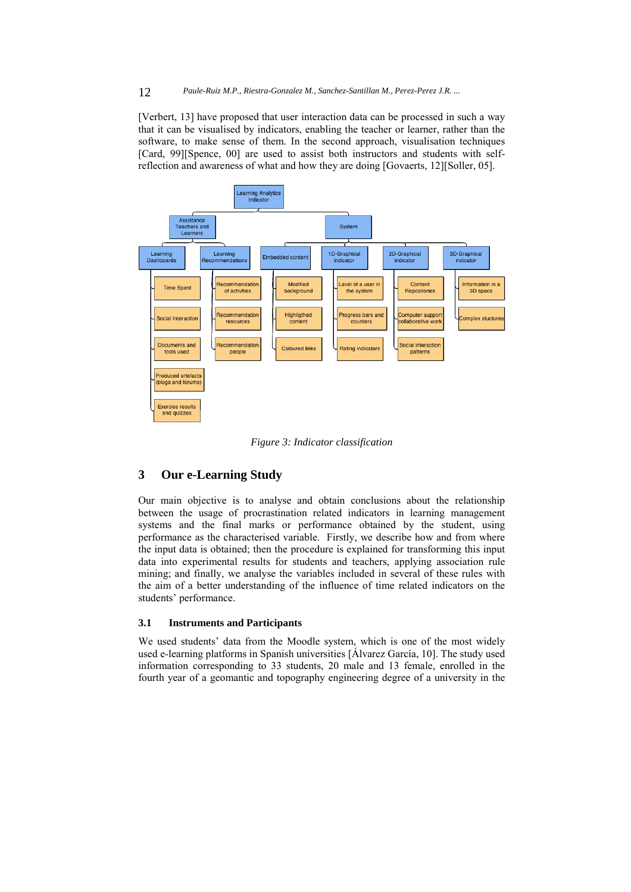#### 12 *Paule-Ruiz M.P., Riestra-Gonzalez M., Sanchez-Santillan M., Perez-Perez J.R. ...*

[Verbert, 13] have proposed that user interaction data can be processed in such a way that it can be visualised by indicators, enabling the teacher or learner, rather than the software, to make sense of them. In the second approach, visualisation techniques [Card, 99][Spence, 00] are used to assist both instructors and students with selfreflection and awareness of what and how they are doing [Govaerts, 12][Soller, 05].



*Figure 3: Indicator classification* 

# **3 Our e-Learning Study**

Our main objective is to analyse and obtain conclusions about the relationship between the usage of procrastination related indicators in learning management systems and the final marks or performance obtained by the student, using performance as the characterised variable. Firstly, we describe how and from where the input data is obtained; then the procedure is explained for transforming this input data into experimental results for students and teachers, applying association rule mining; and finally, we analyse the variables included in several of these rules with the aim of a better understanding of the influence of time related indicators on the students' performance.

# **3.1 Instruments and Participants**

We used students' data from the Moodle system, which is one of the most widely used e-learning platforms in Spanish universities [Álvarez García, 10]. The study used information corresponding to 33 students, 20 male and 13 female, enrolled in the fourth year of a geomantic and topography engineering degree of a university in the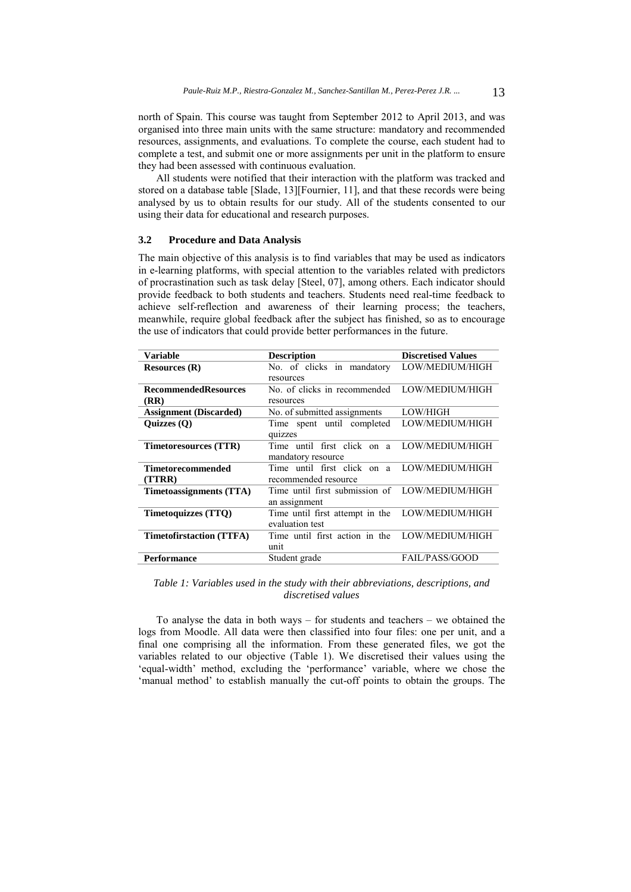north of Spain. This course was taught from September 2012 to April 2013, and was organised into three main units with the same structure: mandatory and recommended resources, assignments, and evaluations. To complete the course, each student had to complete a test, and submit one or more assignments per unit in the platform to ensure they had been assessed with continuous evaluation.

All students were notified that their interaction with the platform was tracked and stored on a database table [Slade, 13][Fournier, 11], and that these records were being analysed by us to obtain results for our study. All of the students consented to our using their data for educational and research purposes.

#### **3.2 Procedure and Data Analysis**

The main objective of this analysis is to find variables that may be used as indicators in e-learning platforms, with special attention to the variables related with predictors of procrastination such as task delay [Steel, 07], among others. Each indicator should provide feedback to both students and teachers. Students need real-time feedback to achieve self-reflection and awareness of their learning process; the teachers, meanwhile, require global feedback after the subject has finished, so as to encourage the use of indicators that could provide better performances in the future.

| <b>Variable</b>                 | <b>Description</b>                             | <b>Discretised Values</b> |  |
|---------------------------------|------------------------------------------------|---------------------------|--|
| Resources $(R)$                 | No. of clicks in mandatory                     | LOW/MEDIUM/HIGH           |  |
|                                 | resources                                      |                           |  |
| <b>RecommendedResources</b>     | No. of clicks in recommended                   | LOW/MEDIUM/HIGH           |  |
| (RR)                            | resources                                      |                           |  |
| <b>Assignment</b> (Discarded)   | LOW/HIGH<br>No. of submitted assignments       |                           |  |
| Ouizzes $(0)$                   | Time spent until completed                     | LOW/MEDIUM/HIGH           |  |
|                                 | quizzes                                        |                           |  |
| Timetoresources (TTR)           | Time until first click on a                    | LOW/MEDIUM/HIGH           |  |
|                                 | mandatory resource                             |                           |  |
| Timetorecommended               | Time until first click on a                    | LOW/MEDIUM/HIGH           |  |
| (TTRR)                          | recommended resource                           |                           |  |
| Timetoassignments (TTA)         | Time until first submission of LOW/MEDIUM/HIGH |                           |  |
|                                 | an assignment                                  |                           |  |
| <b>Timetoquizzes (TTQ)</b>      | Time until first attempt in the                | LOW/MEDIUM/HIGH           |  |
|                                 | evaluation test                                |                           |  |
| <b>Timetofirstaction (TTFA)</b> | Time until first action in the                 | LOW/MEDIUM/HIGH           |  |
|                                 | unit                                           |                           |  |
| Performance                     | Student grade                                  | <b>FAIL/PASS/GOOD</b>     |  |

*Table 1: Variables used in the study with their abbreviations, descriptions, and discretised values* 

To analyse the data in both ways – for students and teachers – we obtained the logs from Moodle. All data were then classified into four files: one per unit, and a final one comprising all the information. From these generated files, we got the variables related to our objective (Table 1). We discretised their values using the 'equal-width' method, excluding the 'performance' variable, where we chose the 'manual method' to establish manually the cut-off points to obtain the groups. The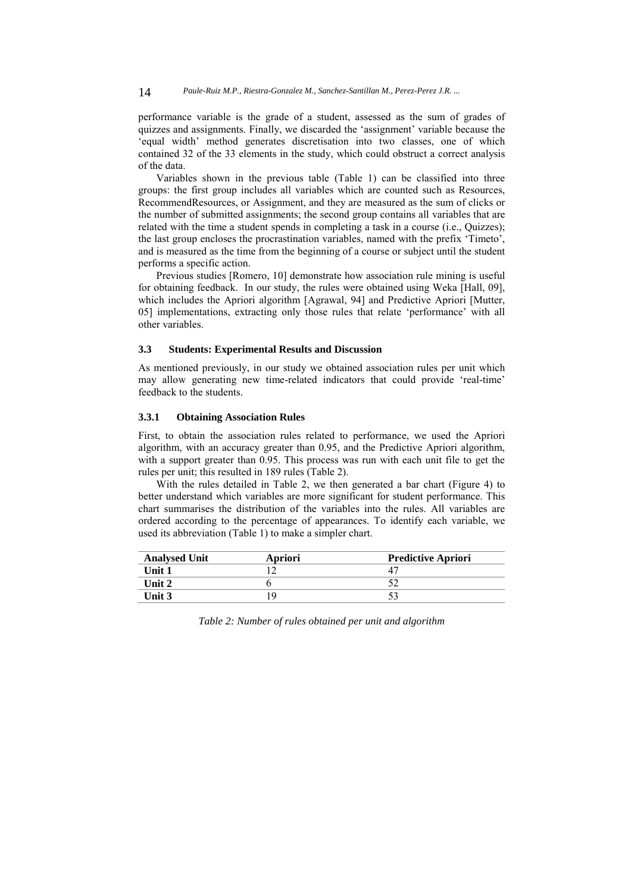14 *Paule-Ruiz M.P., Riestra-Gonzalez M., Sanchez-Santillan M., Perez-Perez J.R. ...*

performance variable is the grade of a student, assessed as the sum of grades of quizzes and assignments. Finally, we discarded the 'assignment' variable because the 'equal width' method generates discretisation into two classes, one of which contained 32 of the 33 elements in the study, which could obstruct a correct analysis of the data.

Variables shown in the previous table (Table 1) can be classified into three groups: the first group includes all variables which are counted such as Resources, RecommendResources, or Assignment, and they are measured as the sum of clicks or the number of submitted assignments; the second group contains all variables that are related with the time a student spends in completing a task in a course (i.e., Quizzes); the last group encloses the procrastination variables, named with the prefix 'Timeto', and is measured as the time from the beginning of a course or subject until the student performs a specific action.

Previous studies [Romero, 10] demonstrate how association rule mining is useful for obtaining feedback. In our study, the rules were obtained using Weka [Hall, 09], which includes the Apriori algorithm [Agrawal, 94] and Predictive Apriori [Mutter, 05] implementations, extracting only those rules that relate 'performance' with all other variables.

# **3.3 Students: Experimental Results and Discussion**

As mentioned previously, in our study we obtained association rules per unit which may allow generating new time-related indicators that could provide 'real-time' feedback to the students.

### **3.3.1 Obtaining Association Rules**

First, to obtain the association rules related to performance, we used the Apriori algorithm, with an accuracy greater than 0.95, and the Predictive Apriori algorithm, with a support greater than 0.95. This process was run with each unit file to get the rules per unit; this resulted in 189 rules (Table 2).

With the rules detailed in Table 2, we then generated a bar chart (Figure 4) to better understand which variables are more significant for student performance. This chart summarises the distribution of the variables into the rules. All variables are ordered according to the percentage of appearances. To identify each variable, we used its abbreviation (Table 1) to make a simpler chart.

| <b>Analysed Unit</b> | Apriori | <b>Predictive Apriori</b> |
|----------------------|---------|---------------------------|
| Unit 1               |         |                           |
| Unit $2$             |         |                           |
| Unit $3$             |         |                           |

*Table 2: Number of rules obtained per unit and algorithm*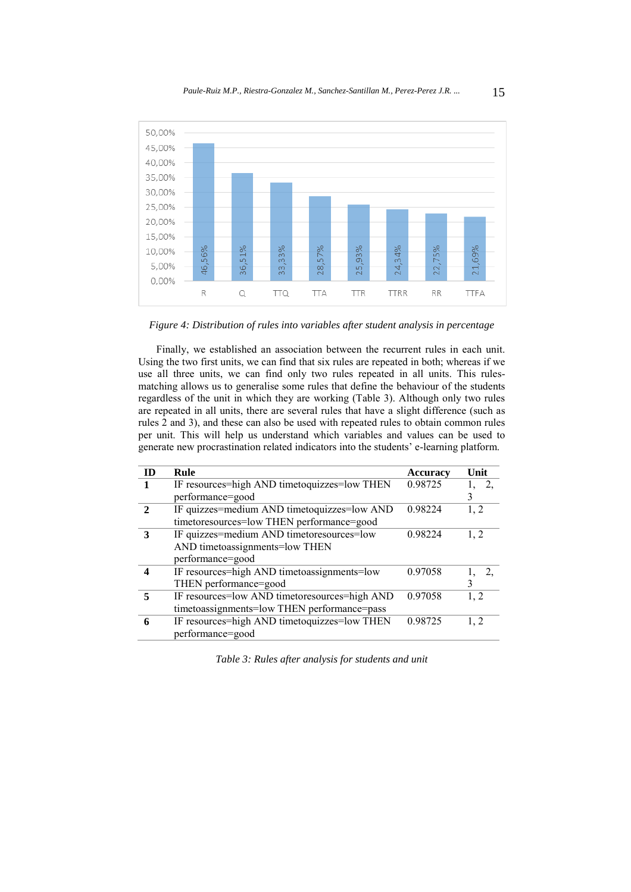

*Figure 4: Distribution of rules into variables after student analysis in percentage* 

Finally, we established an association between the recurrent rules in each unit. Using the two first units, we can find that six rules are repeated in both; whereas if we use all three units, we can find only two rules repeated in all units. This rulesmatching allows us to generalise some rules that define the behaviour of the students regardless of the unit in which they are working (Table 3). Although only two rules are repeated in all units, there are several rules that have a slight difference (such as rules 2 and 3), and these can also be used with repeated rules to obtain common rules per unit. This will help us understand which variables and values can be used to generate new procrastination related indicators into the students' e-learning platform.

| ID | Rule                                          | <b>Accuracy</b> | Unit |
|----|-----------------------------------------------|-----------------|------|
|    | IF resources=high AND timetoquizzes=low THEN  | 0.98725         | 2.   |
|    | performance=good                              |                 | 3    |
|    | IF quizzes=medium AND timetoquizzes=low AND   | 0.98224         | 1, 2 |
|    | timetoresources=low THEN performance=good     |                 |      |
| 3  | IF quizzes=medium AND timetoresources=low     | 0.98224         | 1, 2 |
|    | AND timetoassignments=low THEN                |                 |      |
|    | performance=good                              |                 |      |
|    | IF resources=high AND timetoassignments=low   | 0.97058         | 2.   |
|    | THEN performance=good                         |                 | 3    |
|    | IF resources=low AND timetoresources=high AND | 0.97058         | 1, 2 |
|    | timetoassignments=low THEN performance=pass   |                 |      |
| 6  | IF resources=high AND timetoquizzes=low THEN  | 0.98725         | 1, 2 |
|    | performance=good                              |                 |      |
|    |                                               |                 |      |

*Table 3: Rules after analysis for students and unit*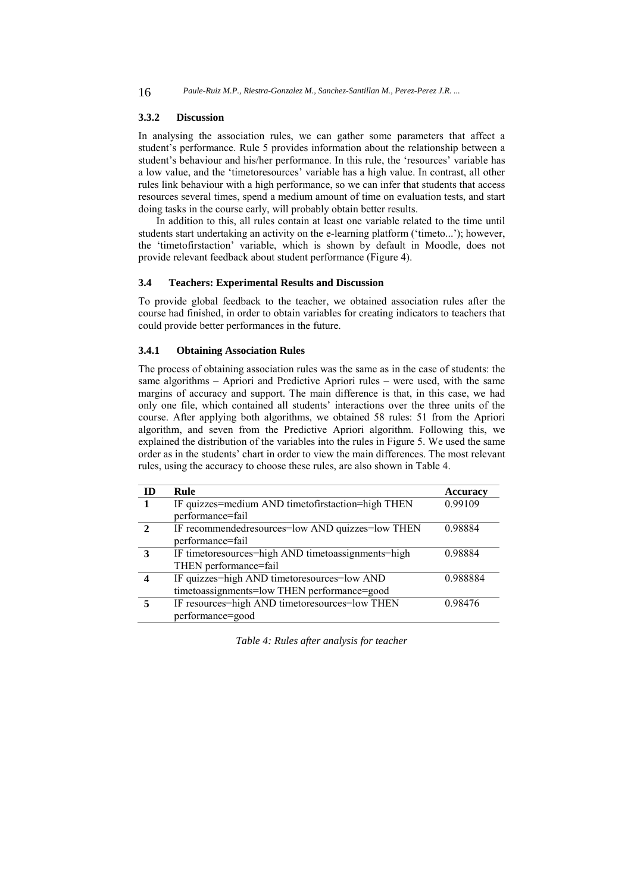16 *Paule-Ruiz M.P., Riestra-Gonzalez M., Sanchez-Santillan M., Perez-Perez J.R. ...*

# **3.3.2 Discussion**

In analysing the association rules, we can gather some parameters that affect a student's performance. Rule 5 provides information about the relationship between a student's behaviour and his/her performance. In this rule, the 'resources' variable has a low value, and the 'timetoresources' variable has a high value. In contrast, all other rules link behaviour with a high performance, so we can infer that students that access resources several times, spend a medium amount of time on evaluation tests, and start doing tasks in the course early, will probably obtain better results.

In addition to this, all rules contain at least one variable related to the time until students start undertaking an activity on the e-learning platform ('timeto...'); however, the 'timetofirstaction' variable, which is shown by default in Moodle, does not provide relevant feedback about student performance (Figure 4).

#### **3.4 Teachers: Experimental Results and Discussion**

To provide global feedback to the teacher, we obtained association rules after the course had finished, in order to obtain variables for creating indicators to teachers that could provide better performances in the future.

# **3.4.1 Obtaining Association Rules**

The process of obtaining association rules was the same as in the case of students: the same algorithms – Apriori and Predictive Apriori rules – were used, with the same margins of accuracy and support. The main difference is that, in this case, we had only one file, which contained all students' interactions over the three units of the course. After applying both algorithms, we obtained 58 rules: 51 from the Apriori algorithm, and seven from the Predictive Apriori algorithm. Following this, we explained the distribution of the variables into the rules in Figure 5. We used the same order as in the students' chart in order to view the main differences. The most relevant rules, using the accuracy to choose these rules, are also shown in Table 4.

| m | Rule                                               | Accuracy |
|---|----------------------------------------------------|----------|
|   | IF quizzes=medium AND timetofirstaction=high THEN  | 0.99109  |
|   | performance=fail                                   |          |
|   | IF recommended resources=low AND quizzes=low THEN  | 0.98884  |
|   | performance=fail                                   |          |
| 3 | IF timetoresources=high AND timetoassignments=high | 0.98884  |
|   | THEN performance=fail                              |          |
|   | IF quizzes=high AND timetoresources=low AND        | 0.988884 |
|   | timetoassignments=low THEN performance=good        |          |
|   | IF resources=high AND timetoresources=low THEN     | 0.98476  |
|   | performance=good                                   |          |

*Table 4: Rules after analysis for teacher*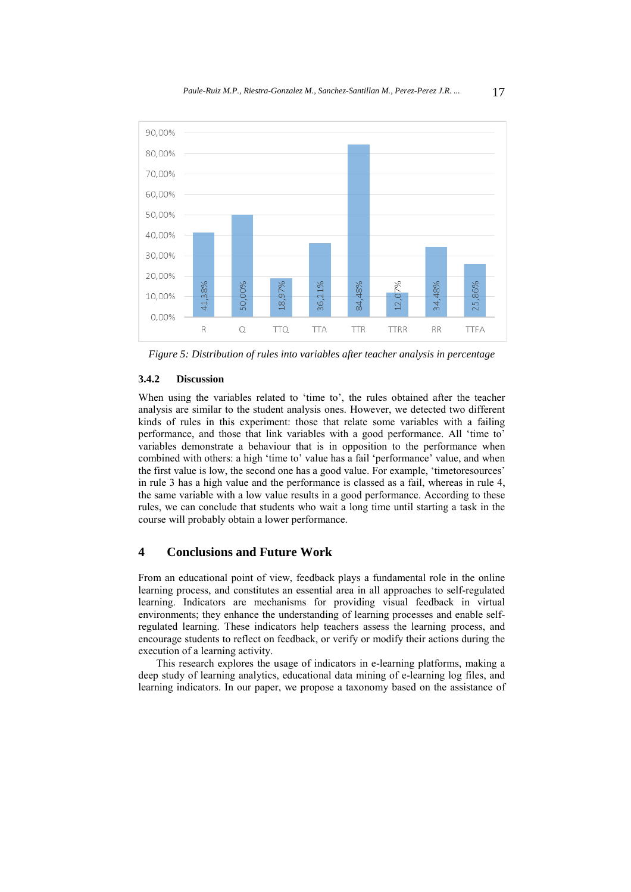

*Figure 5: Distribution of rules into variables after teacher analysis in percentage* 

# **3.4.2 Discussion**

When using the variables related to 'time to', the rules obtained after the teacher analysis are similar to the student analysis ones. However, we detected two different kinds of rules in this experiment: those that relate some variables with a failing performance, and those that link variables with a good performance. All 'time to' variables demonstrate a behaviour that is in opposition to the performance when combined with others: a high 'time to' value has a fail 'performance' value, and when the first value is low, the second one has a good value. For example, 'timetoresources' in rule 3 has a high value and the performance is classed as a fail, whereas in rule 4, the same variable with a low value results in a good performance. According to these rules, we can conclude that students who wait a long time until starting a task in the course will probably obtain a lower performance.

# **4 Conclusions and Future Work**

From an educational point of view, feedback plays a fundamental role in the online learning process, and constitutes an essential area in all approaches to self-regulated learning. Indicators are mechanisms for providing visual feedback in virtual environments; they enhance the understanding of learning processes and enable selfregulated learning. These indicators help teachers assess the learning process, and encourage students to reflect on feedback, or verify or modify their actions during the execution of a learning activity.

This research explores the usage of indicators in e-learning platforms, making a deep study of learning analytics, educational data mining of e-learning log files, and learning indicators. In our paper, we propose a taxonomy based on the assistance of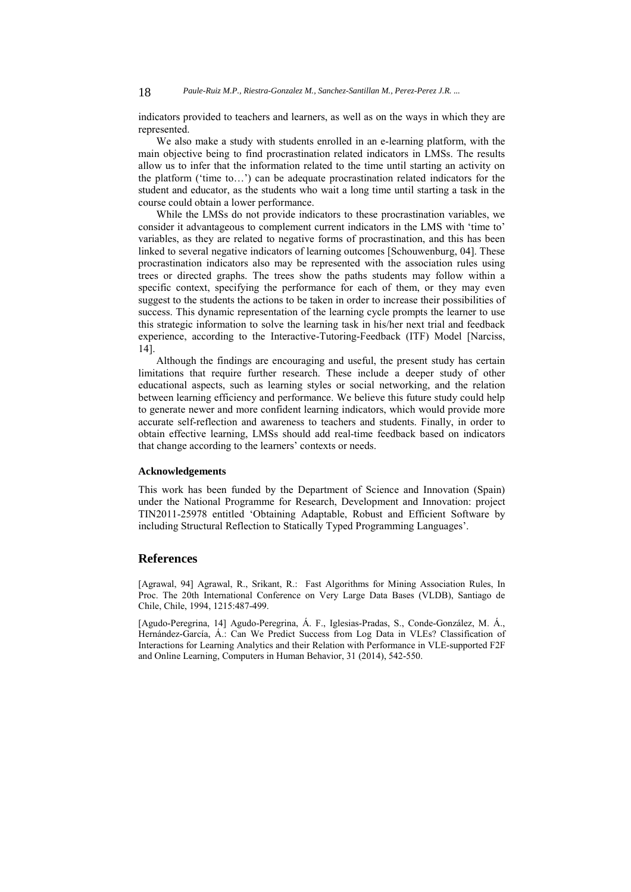indicators provided to teachers and learners, as well as on the ways in which they are represented.

We also make a study with students enrolled in an e-learning platform, with the main objective being to find procrastination related indicators in LMSs. The results allow us to infer that the information related to the time until starting an activity on the platform ('time to…') can be adequate procrastination related indicators for the student and educator, as the students who wait a long time until starting a task in the course could obtain a lower performance.

While the LMSs do not provide indicators to these procrastination variables, we consider it advantageous to complement current indicators in the LMS with 'time to' variables, as they are related to negative forms of procrastination, and this has been linked to several negative indicators of learning outcomes [Schouwenburg, 04]. These procrastination indicators also may be represented with the association rules using trees or directed graphs. The trees show the paths students may follow within a specific context, specifying the performance for each of them, or they may even suggest to the students the actions to be taken in order to increase their possibilities of success. This dynamic representation of the learning cycle prompts the learner to use this strategic information to solve the learning task in his/her next trial and feedback experience, according to the Interactive-Tutoring-Feedback (ITF) Model [Narciss, 14].

Although the findings are encouraging and useful, the present study has certain limitations that require further research. These include a deeper study of other educational aspects, such as learning styles or social networking, and the relation between learning efficiency and performance. We believe this future study could help to generate newer and more confident learning indicators, which would provide more accurate self-reflection and awareness to teachers and students. Finally, in order to obtain effective learning, LMSs should add real-time feedback based on indicators that change according to the learners' contexts or needs.

# **Acknowledgements**

This work has been funded by the Department of Science and Innovation (Spain) under the National Programme for Research, Development and Innovation: project TIN2011-25978 entitled 'Obtaining Adaptable, Robust and Efficient Software by including Structural Reflection to Statically Typed Programming Languages'.

## **References**

[Agrawal, 94] Agrawal, R., Srikant, R.: Fast Algorithms for Mining Association Rules, In Proc. The 20th International Conference on Very Large Data Bases (VLDB), Santiago de Chile, Chile, 1994, 1215:487-499.

[Agudo-Peregrina, 14] Agudo-Peregrina, Á. F., Iglesias-Pradas, S., Conde-González, M. Á., Hernández-García, Á.: Can We Predict Success from Log Data in VLEs? Classification of Interactions for Learning Analytics and their Relation with Performance in VLE-supported F2F and Online Learning, Computers in Human Behavior, 31 (2014), 542-550.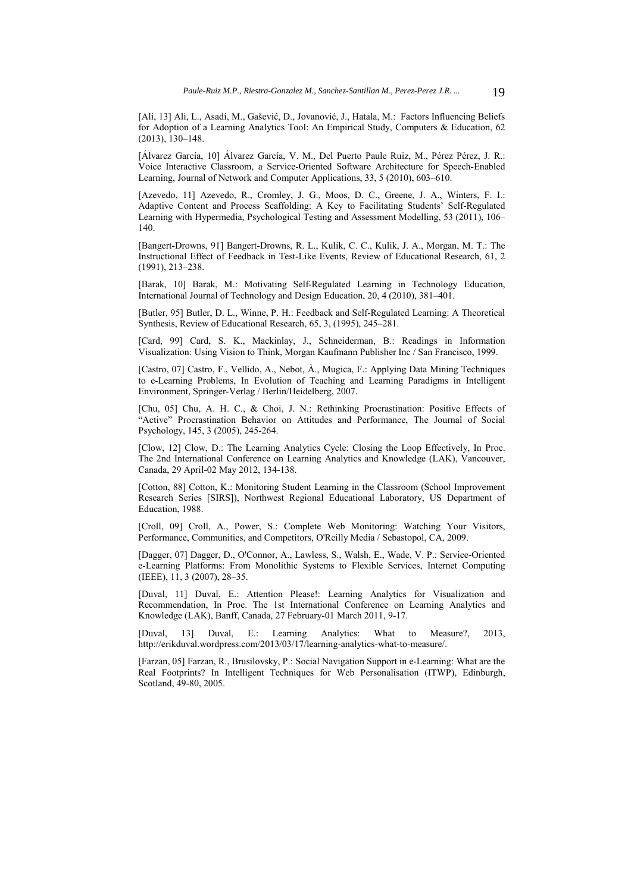[Ali, 13] Ali, L., Asadi, M., Gašević, D., Jovanović, J., Hatala, M.: Factors Influencing Beliefs for Adoption of a Learning Analytics Tool: An Empirical Study, Computers & Education, 62 (2013), 130–148.

[Álvarez García, 10] Álvarez García, V. M., Del Puerto Paule Ruiz, M., Pérez Pérez, J. R.: Voice Interactive Classroom, a Service-Oriented Software Architecture for Speech-Enabled Learning, Journal of Network and Computer Applications, 33, 5 (2010), 603–610.

[Azevedo, 11] Azevedo, R., Cromley, J. G., Moos, D. C., Greene, J. A., Winters, F. I.: Adaptive Content and Process Scaffolding: A Key to Facilitating Students' Self-Regulated Learning with Hypermedia, Psychological Testing and Assessment Modelling, 53 (2011), 106– 140.

[Bangert-Drowns, 91] Bangert-Drowns, R. L., Kulik, C. C., Kulik, J. A., Morgan, M. T.: The Instructional Effect of Feedback in Test-Like Events, Review of Educational Research, 61, 2 (1991), 213–238.

[Barak, 10] Barak, M.: Motivating Self-Regulated Learning in Technology Education, International Journal of Technology and Design Education, 20, 4 (2010), 381–401.

[Butler, 95] Butler, D. L., Winne, P. H.: Feedback and Self-Regulated Learning: A Theoretical Synthesis, Review of Educational Research, 65, 3, (1995), 245–281.

[Card, 99] Card, S. K., Mackinlay, J., Schneiderman, B.: Readings in Information Visualization: Using Vision to Think, Morgan Kaufmann Publisher Inc / San Francisco, 1999.

[Castro, 07] Castro, F., Vellido, A., Nebot, À., Mugica, F.: Applying Data Mining Techniques to e-Learning Problems, In Evolution of Teaching and Learning Paradigms in Intelligent Environment, Springer-Verlag / Berlin/Heidelberg, 2007.

[Chu, 05] Chu, A. H. C., & Choi, J. N.: Rethinking Procrastination: Positive Effects of "Active" Procrastination Behavior on Attitudes and Performance, The Journal of Social Psychology, 145, 3 (2005), 245-264.

[Clow, 12] Clow, D.: The Learning Analytics Cycle: Closing the Loop Effectively, In Proc. The 2nd International Conference on Learning Analytics and Knowledge (LAK), Vancouver, Canada, 29 April-02 May 2012, 134-138.

[Cotton, 88] Cotton, K.: Monitoring Student Learning in the Classroom (School Improvement Research Series [SIRS]), Northwest Regional Educational Laboratory, US Department of Education, 1988.

[Croll, 09] Croll, A., Power, S.: Complete Web Monitoring: Watching Your Visitors, Performance, Communities, and Competitors, O'Reilly Media / Sebastopol, CA, 2009.

[Dagger, 07] Dagger, D., O'Connor, A., Lawless, S., Walsh, E., Wade, V. P.: Service-Oriented e-Learning Platforms: From Monolithic Systems to Flexible Services, Internet Computing (IEEE), 11, 3 (2007), 28–35.

[Duval, 11] Duval, E.: Attention Please!: Learning Analytics for Visualization and Recommendation, In Proc. The 1st International Conference on Learning Analytics and Knowledge (LAK), Banff, Canada, 27 February-01 March 2011, 9-17.

[Duval, 13] Duval, E.: Learning Analytics: What to Measure?, 2013, http://erikduval.wordpress.com/2013/03/17/learning-analytics-what-to-measure/.

[Farzan, 05] Farzan, R., Brusilovsky, P.: Social Navigation Support in e-Learning: What are the Real Footprints? In Intelligent Techniques for Web Personalisation (ITWP), Edinburgh, Scotland, 49-80, 2005.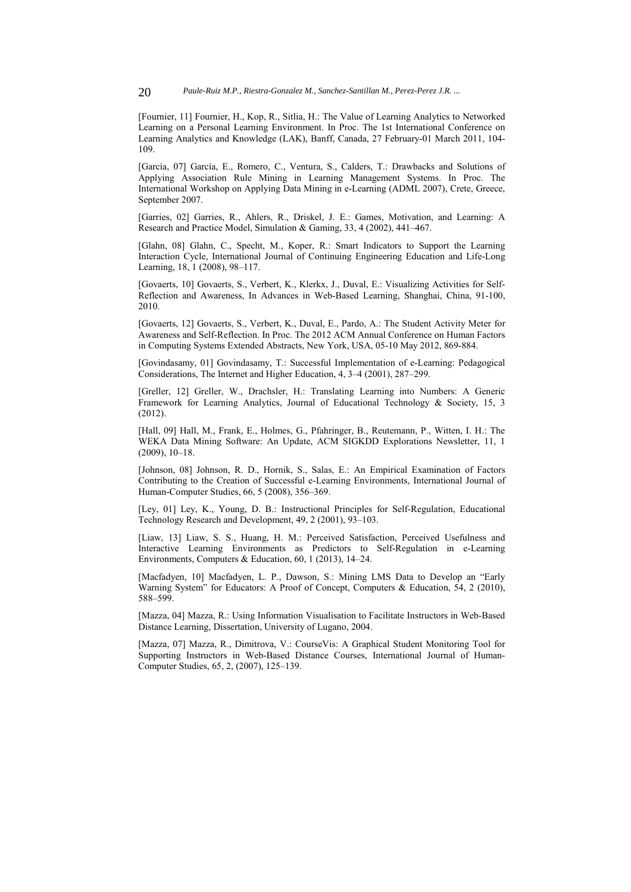[Fournier, 11] Fournier, H., Kop, R., Sitlia, H.: The Value of Learning Analytics to Networked Learning on a Personal Learning Environment. In Proc. The 1st International Conference on Learning Analytics and Knowledge (LAK), Banff, Canada, 27 February-01 March 2011, 104- 109.

[García, 07] García, E., Romero, C., Ventura, S., Calders, T.: Drawbacks and Solutions of Applying Association Rule Mining in Learning Management Systems. In Proc. The International Workshop on Applying Data Mining in e-Learning (ADML 2007), Crete, Greece, September 2007.

[Garries, 02] Garries, R., Ahlers, R., Driskel, J. E.: Games, Motivation, and Learning: A Research and Practice Model, Simulation & Gaming, 33, 4 (2002), 441–467.

[Glahn, 08] Glahn, C., Specht, M., Koper, R.: Smart Indicators to Support the Learning Interaction Cycle, International Journal of Continuing Engineering Education and Life-Long Learning, 18, 1 (2008), 98–117.

[Govaerts, 10] Govaerts, S., Verbert, K., Klerkx, J., Duval, E.: Visualizing Activities for Self-Reflection and Awareness, In Advances in Web-Based Learning, Shanghai, China, 91-100, 2010.

[Govaerts, 12] Govaerts, S., Verbert, K., Duval, E., Pardo, A.: The Student Activity Meter for Awareness and Self-Reflection. In Proc. The 2012 ACM Annual Conference on Human Factors in Computing Systems Extended Abstracts, New York, USA, 05-10 May 2012, 869-884.

[Govindasamy, 01] Govindasamy, T.: Successful Implementation of e-Learning: Pedagogical Considerations, The Internet and Higher Education, 4, 3–4 (2001), 287–299.

[Greller, 12] Greller, W., Drachsler, H.: Translating Learning into Numbers: A Generic Framework for Learning Analytics, Journal of Educational Technology & Society, 15, 3 (2012).

[Hall, 09] Hall, M., Frank, E., Holmes, G., Pfahringer, B., Reutemann, P., Witten, I. H.: The WEKA Data Mining Software: An Update, ACM SIGKDD Explorations Newsletter, 11, 1 (2009), 10–18.

[Johnson, 08] Johnson, R. D., Hornik, S., Salas, E.: An Empirical Examination of Factors Contributing to the Creation of Successful e-Learning Environments, International Journal of Human-Computer Studies, 66, 5 (2008), 356–369.

[Ley, 01] Ley, K., Young, D. B.: Instructional Principles for Self-Regulation, Educational Technology Research and Development, 49, 2 (2001), 93–103.

[Liaw, 13] Liaw, S. S., Huang, H. M.: Perceived Satisfaction, Perceived Usefulness and Interactive Learning Environments as Predictors to Self-Regulation in e-Learning Environments, Computers & Education, 60, 1 (2013), 14–24.

[Macfadyen, 10] Macfadyen, L. P., Dawson, S.: Mining LMS Data to Develop an "Early Warning System" for Educators: A Proof of Concept, Computers & Education, 54, 2 (2010), 588–599.

[Mazza, 04] Mazza, R.: Using Information Visualisation to Facilitate Instructors in Web-Based Distance Learning, Dissertation, University of Lugano, 2004.

[Mazza, 07] Mazza, R., Dimitrova, V.: CourseVis: A Graphical Student Monitoring Tool for Supporting Instructors in Web-Based Distance Courses, International Journal of Human-Computer Studies, 65, 2, (2007), 125–139.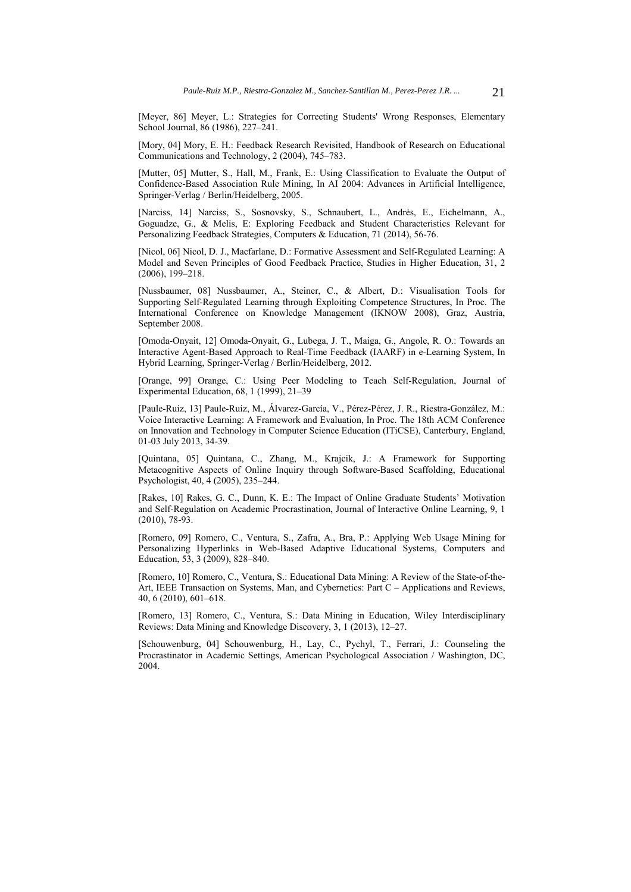[Meyer, 86] Meyer, L.: Strategies for Correcting Students' Wrong Responses, Elementary School Journal, 86 (1986), 227–241.

[Mory, 04] Mory, E. H.: Feedback Research Revisited, Handbook of Research on Educational Communications and Technology, 2 (2004), 745–783.

[Mutter, 05] Mutter, S., Hall, M., Frank, E.: Using Classification to Evaluate the Output of Confidence-Based Association Rule Mining, In AI 2004: Advances in Artificial Intelligence, Springer-Verlag / Berlin/Heidelberg, 2005.

[Narciss, 14] Narciss, S., Sosnovsky, S., Schnaubert, L., Andrès, E., Eichelmann, A., Goguadze, G., & Melis, E: Exploring Feedback and Student Characteristics Relevant for Personalizing Feedback Strategies, Computers & Education, 71 (2014), 56-76.

[Nicol, 06] Nicol, D. J., Macfarlane, D.: Formative Assessment and Self-Regulated Learning: A Model and Seven Principles of Good Feedback Practice, Studies in Higher Education, 31, 2 (2006), 199–218.

[Nussbaumer, 08] Nussbaumer, A., Steiner, C., & Albert, D.: Visualisation Tools for Supporting Self-Regulated Learning through Exploiting Competence Structures, In Proc. The International Conference on Knowledge Management (IKNOW 2008), Graz, Austria, September 2008.

[Omoda-Onyait, 12] Omoda-Onyait, G., Lubega, J. T., Maiga, G., Angole, R. O.: Towards an Interactive Agent-Based Approach to Real-Time Feedback (IAARF) in e-Learning System, In Hybrid Learning, Springer-Verlag / Berlin/Heidelberg, 2012.

[Orange, 99] Orange, C.: Using Peer Modeling to Teach Self-Regulation, Journal of Experimental Education, 68, 1 (1999), 21–39

[Paule-Ruiz, 13] Paule-Ruiz, M., Álvarez-García, V., Pérez-Pérez, J. R., Riestra-González, M.: Voice Interactive Learning: A Framework and Evaluation, In Proc. The 18th ACM Conference on Innovation and Technology in Computer Science Education (ITiCSE), Canterbury, England, 01-03 July 2013, 34-39.

[Quintana, 05] Quintana, C., Zhang, M., Krajcik, J.: A Framework for Supporting Metacognitive Aspects of Online Inquiry through Software-Based Scaffolding, Educational Psychologist, 40, 4 (2005), 235–244.

[Rakes, 10] Rakes, G. C., Dunn, K. E.: The Impact of Online Graduate Students' Motivation and Self-Regulation on Academic Procrastination, Journal of Interactive Online Learning, 9, 1 (2010), 78-93.

[Romero, 09] Romero, C., Ventura, S., Zafra, A., Bra, P.: Applying Web Usage Mining for Personalizing Hyperlinks in Web-Based Adaptive Educational Systems, Computers and Education, 53, 3 (2009), 828–840.

[Romero, 10] Romero, C., Ventura, S.: Educational Data Mining: A Review of the State-of-the-Art, IEEE Transaction on Systems, Man, and Cybernetics: Part C – Applications and Reviews, 40, 6 (2010), 601–618.

[Romero, 13] Romero, C., Ventura, S.: Data Mining in Education, Wiley Interdisciplinary Reviews: Data Mining and Knowledge Discovery, 3, 1 (2013), 12–27.

[Schouwenburg, 04] Schouwenburg, H., Lay, C., Pychyl, T., Ferrari, J.: Counseling the Procrastinator in Academic Settings, American Psychological Association / Washington, DC, 2004.